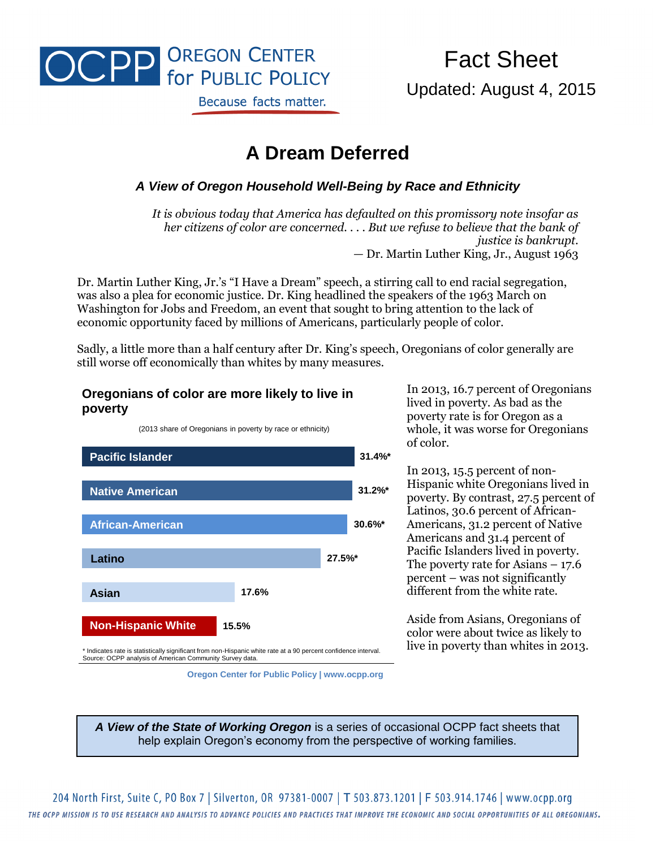

# Fact Sheet Updated: August 4, 2015

## **A Dream Deferred**

#### *A View of Oregon Household Well-Being by Race and Ethnicity*

*It is obvious today that America has defaulted on this promissory note insofar as her citizens of color are concerned. . . . But we refuse to believe that the bank of justice is bankrupt. —* Dr. Martin Luther King, Jr., August 1963

Dr. Martin Luther King, Jr.'s "I Have a Dream" speech, a stirring call to end racial segregation, was also a plea for economic justice. Dr. King headlined the speakers of the 1963 March on Washington for Jobs and Freedom, an event that sought to bring attention to the lack of economic opportunity faced by millions of Americans, particularly people of color.

Sadly, a little more than a half century after Dr. King's speech, Oregonians of color generally are still worse off economically than whites by many measures.

#### **Oregonians of color are more likely to live in poverty**

(2013 share of Oregonians in poverty by race or ethnicity)



In 2013, 16.7 percent of Oregonians lived in poverty. As bad as the poverty rate is for Oregon as a whole, it was worse for Oregonians of color.

In 2013, 15.5 percent of non-Hispanic white Oregonians lived in poverty. By contrast, 27.5 percent of Latinos, 30.6 percent of African-Americans, 31.2 percent of Native Americans and 31.4 percent of Pacific Islanders lived in poverty. The poverty rate for Asians  $-17.6$ percent – was not significantly different from the white rate.

Aside from Asians, Oregonians of color were about twice as likely to live in poverty than whites in 2013.

**Oregon Center for Public Policy | www.ocpp.org**

*A View of the State of Working Oregon* is a series of occasional OCPP fact sheets that help explain Oregon's economy from the perspective of working families.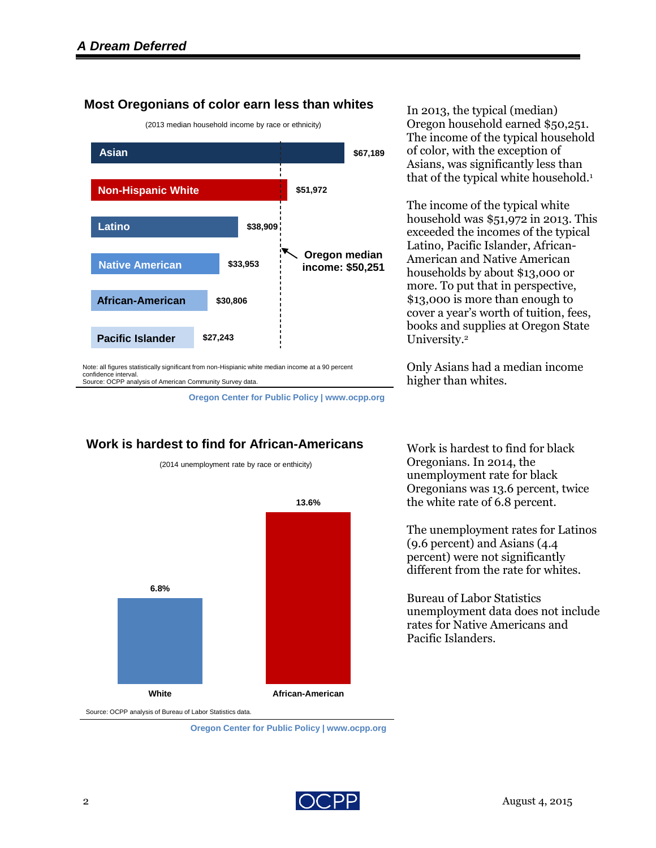### **Most Oregonians of color earn less than whites**



In 2013, the typical (median) Oregon household earned \$50,251. The income of the typical household of color, with the exception of Asians, was significantly less than that of the typical white household.<sup>1</sup>

The income of the typical white household was \$51,972 in 2013. This exceeded the incomes of the typical Latino, Pacific Islander, African-American and Native American households by about \$13,000 or more. To put that in perspective, \$13,000 is more than enough to cover a year's worth of tuition, fees, books and supplies at Oregon State University. 2

Only Asians had a median income higher than whites.

**6.8% 13.6% White African-American** Source: OCPP analysis of Bureau of Labor Statistics data.

### **Work is hardest to find for African-Americans**

(2014 unemployment rate by race or enthicity)

**Oregon Center for Public Policy | www.ocpp.org**

Work is hardest to find for black Oregonians. In 2014, the unemployment rate for black Oregonians was 13.6 percent, twice the white rate of 6.8 percent.

The unemployment rates for Latinos (9.6 percent) and Asians (4.4 percent) were not significantly different from the rate for whites.

Bureau of Labor Statistics unemployment data does not include rates for Native Americans and Pacific Islanders.

**Oregon Center for Public Policy | www.ocpp.org**

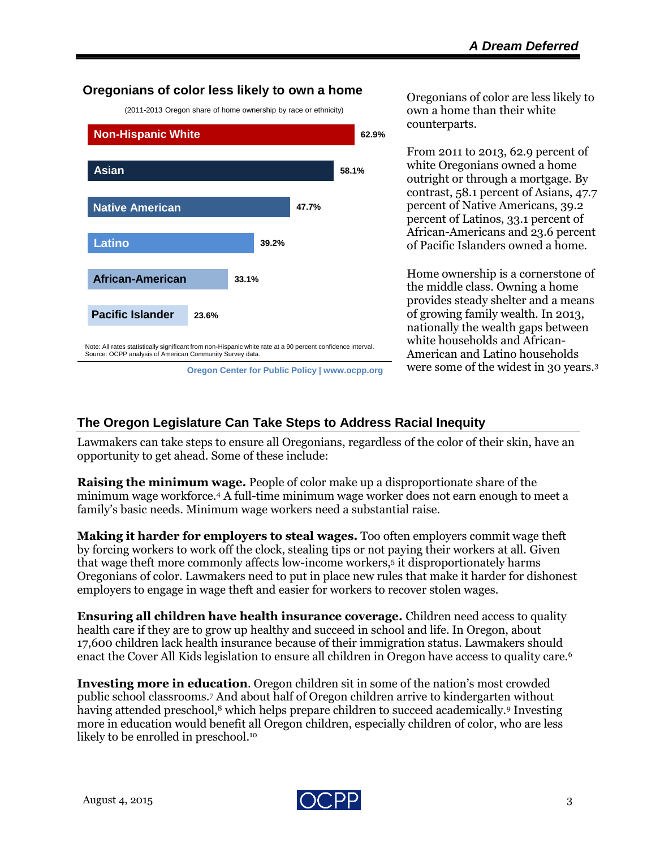#### **Oregonians of color less likely to own a home**

(2011-2013 Oregon share of home ownership by race or ethnicity)



**Oregon Center for Public Policy | www.ocpp.org**

Oregonians of color are less likely to own a home than their white counterparts.

From 2011 to 2013, 62.9 percent of white Oregonians owned a home outright or through a mortgage. By contrast, 58.1 percent of Asians, 47.7 percent of Native Americans, 39.2 percent of Latinos, 33.1 percent of African-Americans and 23.6 percent of Pacific Islanders owned a home.

Home ownership is a cornerstone of the middle class. Owning a home provides steady shelter and a means of growing family wealth. In 2013, nationally the wealth gaps between white households and African-American and Latino households were some of the widest in 30 years.<sup>3</sup>

#### **The Oregon Legislature Can Take Steps to Address Racial Inequity**

Lawmakers can take steps to ensure all Oregonians, regardless of the color of their skin, have an opportunity to get ahead. Some of these include:

**Raising the minimum wage.** People of color make up a disproportionate share of the minimum wage workforce.<sup>4</sup> A full-time minimum wage worker does not earn enough to meet a family's basic needs. Minimum wage workers need a substantial raise.

**Making it harder for employers to steal wages.** Too often employers commit wage theft by forcing workers to work off the clock, stealing tips or not paying their workers at all. Given that wage theft more commonly affects low-income workers,<sup>5</sup> it disproportionately harms Oregonians of color. Lawmakers need to put in place new rules that make it harder for dishonest employers to engage in wage theft and easier for workers to recover stolen wages.

**Ensuring all children have health insurance coverage.** Children need access to quality health care if they are to grow up healthy and succeed in school and life. In Oregon, about 17,600 children lack health insurance because of their immigration status. Lawmakers should enact the Cover All Kids legislation to ensure all children in Oregon have access to quality care.<sup>6</sup>

**Investing more in education**. Oregon children sit in some of the nation's most crowded public school classrooms.<sup>7</sup> And about half of Oregon children arrive to kindergarten without having attended preschool, <sup>8</sup> which helps prepare children to succeed academically.<sup>9</sup> Investing more in education would benefit all Oregon children, especially children of color, who are less likely to be enrolled in preschool. 10